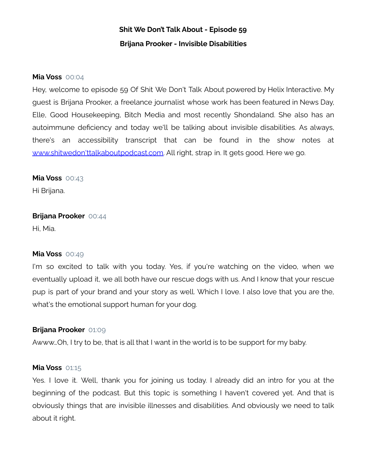#### **Mia Voss** 00:04

Hey, welcome to episode 59 Of Shit We Don't Talk About powered by Helix Interactive. My guest is Brijana Prooker, a freelance journalist whose work has been featured in News Day, Elle, Good Housekeeping, Bitch Media and most recently Shondaland. She also has an autoimmune deficiency and today we'll be talking about invisible disabilities. As always, there's an accessibility transcript that can be found in the show notes at www.shitwedon'ttalkaboutpodcast.com. All right, strap in. It gets good. Here we go.

#### **Mia Voss** 00:43

Hi Brijana.

## **Brijana Prooker** 00:44

Hi, Mia.

#### **Mia Voss** 00:49

I'm so excited to talk with you today. Yes, if you're watching on the video, when we eventually upload it, we all both have our rescue dogs with us. And I know that your rescue pup is part of your brand and your story as well. Which I love. I also love that you are the, what's the emotional support human for your dog.

#### **Brijana Prooker** 01:09

Awww…Oh, I try to be, that is all that I want in the world is to be support for my baby.

#### **Mia Voss** 01:15

Yes. I love it. Well, thank you for joining us today. I already did an intro for you at the beginning of the podcast. But this topic is something I haven't covered yet. And that is obviously things that are invisible illnesses and disabilities. And obviously we need to talk about it right.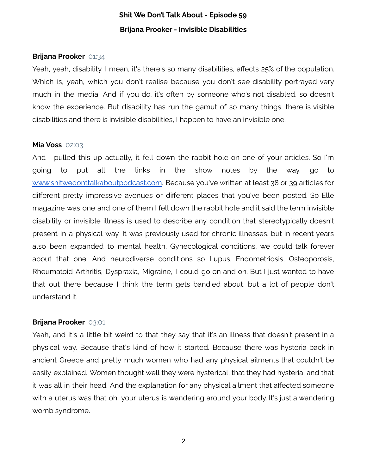#### **Brijana Prooker** 01:34

Yeah, yeah, disability. I mean, it's there's so many disabilities, affects 25% of the population. Which is, yeah, which you don't realise because you don't see disability portrayed very much in the media. And if you do, it's often by someone who's not disabled, so doesn't know the experience. But disability has run the gamut of so many things, there is visible disabilities and there is invisible disabilities, I happen to have an invisible one.

### **Mia Voss** 02:03

And I pulled this up actually, it fell down the rabbit hole on one of your articles. So I'm going to put all the links in the show notes by the way, go to [www.shitwedonttalkaboutpodcast.com](http://shitwedonttalkaboutpodcast.com/). Because you've written at least 38 or 39 articles for different pretty impressive avenues or different places that you've been posted. So Elle magazine was one and one of them I fell down the rabbit hole and it said the term invisible disability or invisible illness is used to describe any condition that stereotypically doesn't present in a physical way. It was previously used for chronic illnesses, but in recent years also been expanded to mental health, Gynecological conditions, we could talk forever about that one. And neurodiverse conditions so Lupus, Endometriosis, Osteoporosis, Rheumatoid Arthritis, Dyspraxia, Migraine, I could go on and on. But I just wanted to have that out there because I think the term gets bandied about, but a lot of people don't understand it.

#### **Brijana Prooker** 03:01

Yeah, and it's a little bit weird to that they say that it's an illness that doesn't present in a physical way. Because that's kind of how it started. Because there was hysteria back in ancient Greece and pretty much women who had any physical ailments that couldn't be easily explained. Women thought well they were hysterical, that they had hysteria, and that it was all in their head. And the explanation for any physical ailment that affected someone with a uterus was that oh, your uterus is wandering around your body. It's just a wandering womb syndrome.

2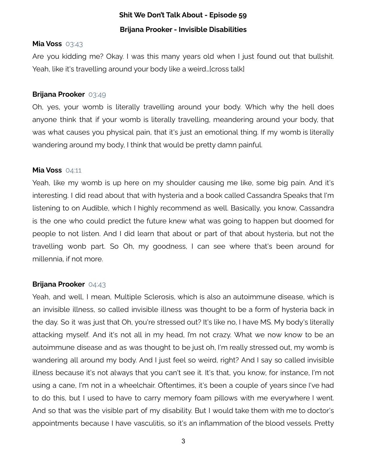#### **Mia Voss** 03:43

Are you kidding me? Okay. I was this many years old when I just found out that bullshit. Yeah, like it's travelling around your body like a weird. [cross talk]

#### **Brijana Prooker** 03:49

Oh, yes, your womb is literally travelling around your body. Which why the hell does anyone think that if your womb is literally travelling, meandering around your body, that was what causes you physical pain, that it's just an emotional thing. If my womb is literally wandering around my body, I think that would be pretty damn painful.

#### **Mia Voss** 04:11

Yeah, like my womb is up here on my shoulder causing me like, some big pain. And it's interesting. I did read about that with hysteria and a book called Cassandra Speaks that I'm listening to on Audible, which I highly recommend as well. Basically, you know, Cassandra is the one who could predict the future knew what was going to happen but doomed for people to not listen. And I did learn that about or part of that about hysteria, but not the travelling wonb part. So Oh, my goodness, I can see where that's been around for millennia, if not more.

## **Brijana Prooker** 04:43

Yeah, and well, I mean, Multiple Sclerosis, which is also an autoimmune disease, which is an invisible illness, so called invisible illness was thought to be a form of hysteria back in the day. So it was just that Oh, you're stressed out? It's like no, I have MS. My body's literally attacking myself. And it's not all in my head, I'm not crazy. What we now know to be an autoimmune disease and as was thought to be just oh, I'm really stressed out, my womb is wandering all around my body. And I just feel so weird, right? And I say so called invisible illness because it's not always that you can't see it. It's that, you know, for instance, I'm not using a cane, I'm not in a wheelchair. Oftentimes, it's been a couple of years since I've had to do this, but I used to have to carry memory foam pillows with me everywhere I went. And so that was the visible part of my disability. But I would take them with me to doctor's appointments because I have vasculitis, so it's an inflammation of the blood vessels. Pretty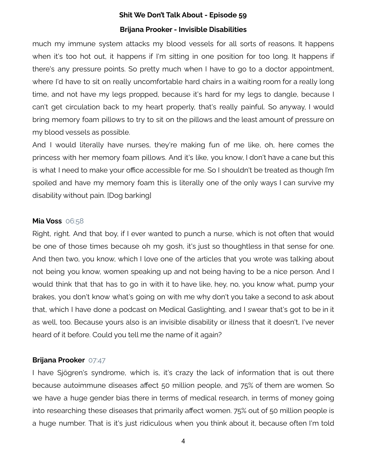much my immune system attacks my blood vessels for all sorts of reasons. It happens when it's too hot out, it happens if I'm sitting in one position for too long. It happens if there's any pressure points. So pretty much when I have to go to a doctor appointment, where I'd have to sit on really uncomfortable hard chairs in a waiting room for a really long time, and not have my legs propped, because it's hard for my legs to dangle, because I can't get circulation back to my heart properly, that's really painful. So anyway, I would bring memory foam pillows to try to sit on the pillows and the least amount of pressure on my blood vessels as possible.

And I would literally have nurses, they're making fun of me like, oh, here comes the princess with her memory foam pillows. And it's like, you know, I don't have a cane but this is what I need to make your office accessible for me. So I shouldn't be treated as though I'm spoiled and have my memory foam this is literally one of the only ways I can survive my disability without pain. [Dog barking]

#### **Mia Voss** 06:58

Right, right. And that boy, if I ever wanted to punch a nurse, which is not often that would be one of those times because oh my gosh, it's just so thoughtless in that sense for one. And then two, you know, which I love one of the articles that you wrote was talking about not being you know, women speaking up and not being having to be a nice person. And I would think that that has to go in with it to have like, hey, no, you know what, pump your brakes, you don't know what's going on with me why don't you take a second to ask about that, which I have done a podcast on Medical Gaslighting, and I swear that's got to be in it as well, too. Because yours also is an invisible disability or illness that it doesn't, I've never heard of it before. Could you tell me the name of it again?

#### **Brijana Prooker** 07:47

I have Sjögren's syndrome, which is, it's crazy the lack of information that is out there because autoimmune diseases affect 50 million people, and 75% of them are women. So we have a huge gender bias there in terms of medical research, in terms of money going into researching these diseases that primarily affect women. 75% out of 50 million people is a huge number. That is it's just ridiculous when you think about it, because often I'm told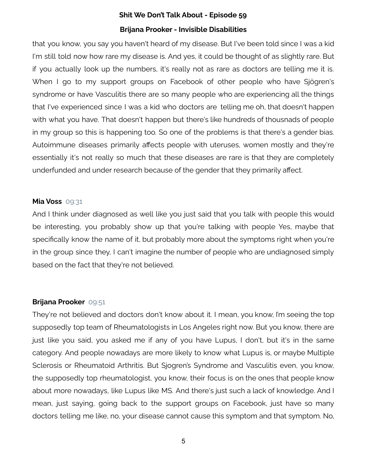that you know, you say you haven't heard of my disease. But I've been told since I was a kid I'm still told now how rare my disease is. And yes, it could be thought of as slightly rare. But if you actually look up the numbers, it's really not as rare as doctors are telling me it is. When I go to my support groups on Facebook of other people who have Sjögren's syndrome or have Vasculitis there are so many people who are experiencing all the things that I've experienced since I was a kid who doctors are telling me oh, that doesn't happen with what you have. That doesn't happen but there's like hundreds of thousnads of people in my group so this is happening too. So one of the problems is that there's a gender bias. Autoimmune diseases primarily affects people with uteruses, women mostly and they're essentially it's not really so much that these diseases are rare is that they are completely underfunded and under research because of the gender that they primarily affect.

#### **Mia Voss** 09:31

And I think under diagnosed as well like you just said that you talk with people this would be interesting, you probably show up that you're talking with people Yes, maybe that specifically know the name of it, but probably more about the symptoms right when you're in the group since they, I can't imagine the number of people who are undiagnosed simply based on the fact that they're not believed.

#### **Brijana Prooker** 09:51

They're not believed and doctors don't know about it. I mean, you know, I'm seeing the top supposedly top team of Rheumatologists in Los Angeles right now. But you know, there are just like you said, you asked me if any of you have Lupus, I don't, but it's in the same category. And people nowadays are more likely to know what Lupus is, or maybe Multiple Sclerosis or Rheumatoid Arthritis. But Sjogren's Syndrome and Vasculitis even, you know, the supposedly top rheumatologist, you know, their focus is on the ones that people know about more nowadays, like Lupus like MS. And there's just such a lack of knowledge. And I mean, just saying, going back to the support groups on Facebook, just have so many doctors telling me like, no, your disease cannot cause this symptom and that symptom. No,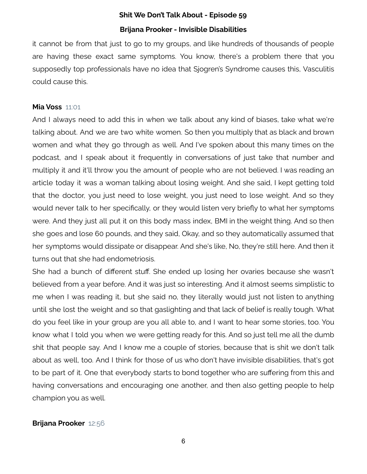it cannot be from that just to go to my groups, and like hundreds of thousands of people are having these exact same symptoms. You know, there's a problem there that you supposedly top professionals have no idea that Sjogren's Syndrome causes this, Vasculitis could cause this.

#### **Mia Voss** 11:01

And I always need to add this in when we talk about any kind of biases, take what we're talking about. And we are two white women. So then you multiply that as black and brown women and what they go through as well. And I've spoken about this many times on the podcast, and I speak about it frequently in conversations of just take that number and multiply it and it'll throw you the amount of people who are not believed. I was reading an article today it was a woman talking about losing weight. And she said, I kept getting told that the doctor, you just need to lose weight, you just need to lose weight. And so they would never talk to her specifically, or they would listen very briefly to what her symptoms were. And they just all put it on this body mass index, BMI in the weight thing. And so then she goes and lose 60 pounds, and they said, Okay, and so they automatically assumed that her symptoms would dissipate or disappear. And she's like, No, they're still here. And then it turns out that she had endometriosis.

She had a bunch of different stuff. She ended up losing her ovaries because she wasn't believed from a year before. And it was just so interesting. And it almost seems simplistic to me when I was reading it, but she said no, they literally would just not listen to anything until she lost the weight and so that gaslighting and that lack of belief is really tough. What do you feel like in your group are you all able to, and I want to hear some stories, too. You know what I told you when we were getting ready for this. And so just tell me all the dumb shit that people say. And I know me a couple of stories, because that is shit we don't talk about as well, too. And I think for those of us who don't have invisible disabilities, that's got to be part of it. One that everybody starts to bond together who are suffering from this and having conversations and encouraging one another, and then also getting people to help champion you as well.

#### **Brijana Prooker** 12:56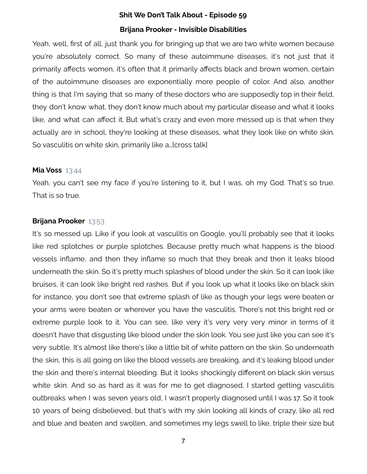Yeah, well, first of all, just thank you for bringing up that we are two white women because you're absolutely correct. So many of these autoimmune diseases, it's not just that it primarily affects women, it's often that it primarily affects black and brown women, certain of the autoimmune diseases are exponentially more people of color. And also, another thing is that I'm saying that so many of these doctors who are supposedly top in their field, they don't know what, they don't know much about my particular disease and what it looks like, and what can affect it. But what's crazy and even more messed up is that when they actually are in school, they're looking at these diseases, what they look like on white skin. So vasculitis on white skin, primarily like a…[cross talk]

#### **Mia Voss** 13:44

Yeah, you can't see my face if you're listening to it, but I was, oh my God. That's so true. That is so true.

#### **Brijana Prooker** 13:53

It's so messed up. Like if you look at vasculitis on Google, you'll probably see that it looks like red splotches or purple splotches. Because pretty much what happens is the blood vessels inflame, and then they inflame so much that they break and then it leaks blood underneath the skin. So it's pretty much splashes of blood under the skin. So it can look like bruises, it can look like bright red rashes. But if you look up what it looks like on black skin for instance, you don't see that extreme splash of like as though your legs were beaten or your arms were beaten or wherever you have the vasculitis. There's not this bright red or extreme purple look to it. You can see, like very it's very very very minor in terms of it doesn't have that disgusting like blood under the skin look. You see just like you can see it's very subtle. It's almost like there's like a little bit of white pattern on the skin. So underneath the skin, this is all going on like the blood vessels are breaking, and it's leaking blood under the skin and there's internal bleeding. But it looks shockingly different on black skin versus white skin. And so as hard as it was for me to get diagnosed, I started getting vasculitis outbreaks when I was seven years old, I wasn't properly diagnosed until I was 17. So it took 10 years of being disbelieved, but that's with my skin looking all kinds of crazy, like all red and blue and beaten and swollen, and sometimes my legs swell to like, triple their size but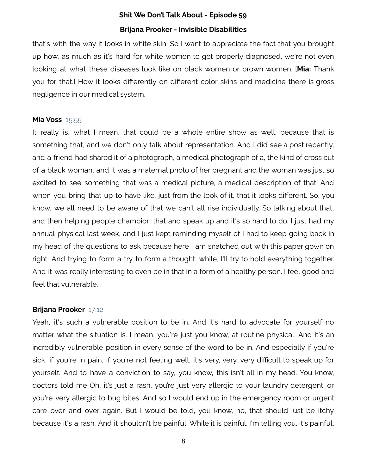that's with the way it looks in white skin. So I want to appreciate the fact that you brought up how, as much as it's hard for white women to get properly diagnosed, we're not even looking at what these diseases look like on black women or brown women. [**Mia:** Thank you for that.] How it looks differently on different color skins and medicine there is gross negligence in our medical system.

#### **Mia Voss** 15:55

It really is, what I mean, that could be a whole entire show as well, because that is something that, and we don't only talk about representation. And I did see a post recently, and a friend had shared it of a photograph, a medical photograph of a, the kind of cross cut of a black woman, and it was a maternal photo of her pregnant and the woman was just so excited to see something that was a medical picture, a medical description of that. And when you bring that up to have like, just from the look of it, that it looks different. So, you know, we all need to be aware of that we can't all rise individually. So talking about that, and then helping people champion that and speak up and it's so hard to do. I just had my annual physical last week, and I just kept reminding myself of I had to keep going back in my head of the questions to ask because here I am snatched out with this paper gown on right. And trying to form a try to form a thought, while, I'll try to hold everything together. And it was really interesting to even be in that in a form of a healthy person. I feel good and feel that vulnerable.

#### **Brijana Prooker** 17:12

Yeah, it's such a vulnerable position to be in. And it's hard to advocate for yourself no matter what the situation is. I mean, you're just you know, at routine physical. And it's an incredibly vulnerable position in every sense of the word to be in. And especially if you're sick, if you're in pain, if you're not feeling well, it's very, very, very difficult to speak up for yourself. And to have a conviction to say, you know, this isn't all in my head. You know, doctors told me Oh, it's just a rash, you're just very allergic to your laundry detergent, or you're very allergic to bug bites. And so I would end up in the emergency room or urgent care over and over again. But I would be told, you know, no, that should just be itchy because it's a rash. And it shouldn't be painful. While it is painful. I'm telling you, it's painful,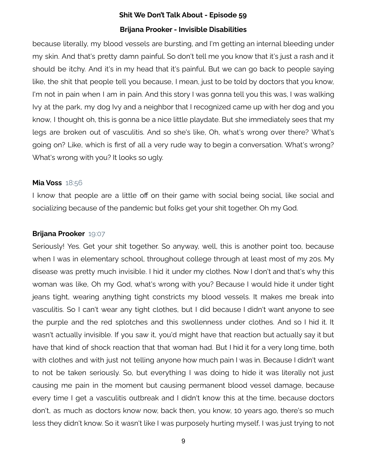because literally, my blood vessels are bursting, and I'm getting an internal bleeding under my skin. And that's pretty damn painful. So don't tell me you know that it's just a rash and it should be itchy. And it's in my head that it's painful. But we can go back to people saying like, the shit that people tell you because, I mean, just to be told by doctors that you know, I'm not in pain when I am in pain. And this story I was gonna tell you this was, I was walking Ivy at the park, my dog Ivy and a neighbor that I recognized came up with her dog and you know, I thought oh, this is gonna be a nice little playdate. But she immediately sees that my legs are broken out of vasculitis. And so she's like, Oh, what's wrong over there? What's going on? Like, which is first of all a very rude way to begin a conversation. What's wrong? What's wrong with you? It looks so ugly.

#### **Mia Voss** 18:56

I know that people are a little off on their game with social being social, like social and socializing because of the pandemic but folks get your shit together. Oh my God.

#### **Brijana Prooker** 19:07

Seriously! Yes. Get your shit together. So anyway, well, this is another point too, because when I was in elementary school, throughout college through at least most of my 20s. My disease was pretty much invisible. I hid it under my clothes. Now I don't and that's why this woman was like, Oh my God, what's wrong with you? Because I would hide it under tight jeans tight, wearing anything tight constricts my blood vessels. It makes me break into vasculitis. So I can't wear any tight clothes, but I did because I didn't want anyone to see the purple and the red splotches and this swollenness under clothes. And so I hid it. It wasn't actually invisible. If you saw it, you'd might have that reaction but actually say it but have that kind of shock reaction that that woman had. But I hid it for a very long time, both with clothes and with just not telling anyone how much pain I was in. Because I didn't want to not be taken seriously. So, but everything I was doing to hide it was literally not just causing me pain in the moment but causing permanent blood vessel damage, because every time I get a vasculitis outbreak and I didn't know this at the time, because doctors don't, as much as doctors know now, back then, you know, 10 years ago, there's so much less they didn't know. So it wasn't like I was purposely hurting myself, I was just trying to not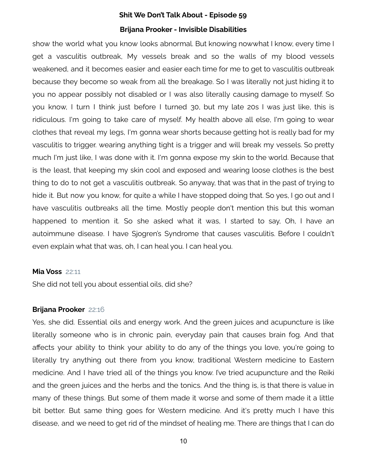show the world what you know looks abnormal. But knowing nowwhat I know, every time I get a vasculitis outbreak, My vessels break and so the walls of my blood vessels weakened, and it becomes easier and easier each time for me to get to vasculitis outbreak because they become so weak from all the breakage. So I was literally not just hiding it to you no appear possibly not disabled or I was also literally causing damage to myself. So you know, I turn I think just before I turned 30, but my late 20s I was just like, this is ridiculous. I'm going to take care of myself. My health above all else, I'm going to wear clothes that reveal my legs, I'm gonna wear shorts because getting hot is really bad for my vasculitis to trigger. wearing anything tight is a trigger and will break my vessels. So pretty much I'm just like, I was done with it. I'm gonna expose my skin to the world. Because that is the least, that keeping my skin cool and exposed and wearing loose clothes is the best thing to do to not get a vasculitis outbreak. So anyway, that was that in the past of trying to hide it. But now you know, for quite a while I have stopped doing that. So yes, I go out and I have vasculitis outbreaks all the time. Mostly people don't mention this but this woman happened to mention it. So she asked what it was, I started to say, Oh, I have an autoimmune disease. I have Sjogren's Syndrome that causes vasculitis. Before I couldn't even explain what that was, oh, I can heal you. I can heal you.

#### **Mia Voss** 22:11

She did not tell you about essential oils, did she?

#### **Brijana Prooker** 22:16

Yes, she did. Essential oils and energy work. And the green juices and acupuncture is like literally someone who is in chronic pain, everyday pain that causes brain fog. And that affects your ability to think your ability to do any of the things you love, you're going to literally try anything out there from you know, traditional Western medicine to Eastern medicine. And I have tried all of the things you know. I've tried acupuncture and the Reiki and the green juices and the herbs and the tonics. And the thing is, is that there is value in many of these things. But some of them made it worse and some of them made it a little bit better. But same thing goes for Western medicine. And it's pretty much I have this disease, and we need to get rid of the mindset of healing me. There are things that I can do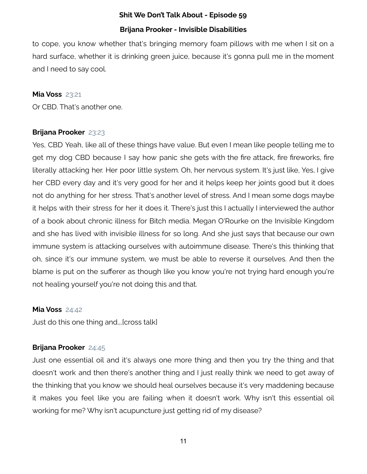## **Shit We Don't Talk About - Episode 59**

## **Brijana Prooker - Invisible Disabilities**

to cope, you know whether that's bringing memory foam pillows with me when I sit on a hard surface, whether it is drinking green juice, because it's gonna pull me in the moment and I need to say cool.

### **Mia Voss** 23:21

Or CBD. That's another one.

## **Brijana Prooker** 23:23

Yes, CBD Yeah, like all of these things have value. But even I mean like people telling me to get my dog CBD because I say how panic she gets with the fire attack, fire fireworks, fire literally attacking her. Her poor little system. Oh, her nervous system. It's just like, Yes, I give her CBD every day and it's very good for her and it helps keep her joints good but it does not do anything for her stress. That's another level of stress. And I mean some dogs maybe it helps with their stress for her it does it. There's just this I actually I interviewed the author of a book about chronic illness for Bitch media. Megan O'Rourke on the Invisible Kingdom and she has lived with invisible illness for so long. And she just says that because our own immune system is attacking ourselves with autoimmune disease. There's this thinking that oh, since it's our immune system, we must be able to reverse it ourselves. And then the blame is put on the sufferer as though like you know you're not trying hard enough you're not healing yourself you're not doing this and that.

#### **Mia Voss** 24:42

Just do this one thing and….[cross talk]

## **Brijana Prooker** 24:45

Just one essential oil and it's always one more thing and then you try the thing and that doesn't work and then there's another thing and I just really think we need to get away of the thinking that you know we should heal ourselves because it's very maddening because it makes you feel like you are failing when it doesn't work. Why isn't this essential oil working for me? Why isn't acupuncture just getting rid of my disease?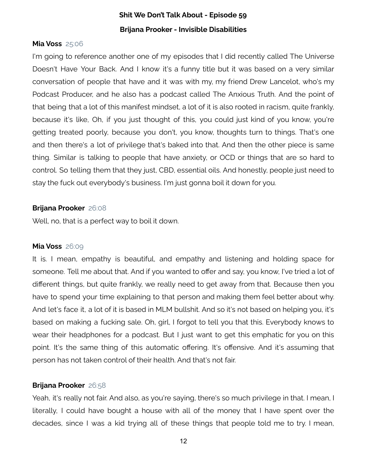#### **Mia Voss** 25:06

I'm going to reference another one of my episodes that I did recently called The Universe Doesn't Have Your Back. And I know it's a funny title but it was based on a very similar conversation of people that have and it was with my, my friend Drew Lancelot, who's my Podcast Producer, and he also has a podcast called The Anxious Truth. And the point of that being that a lot of this manifest mindset, a lot of it is also rooted in racism, quite frankly, because it's like, Oh, if you just thought of this, you could just kind of you know, you're getting treated poorly, because you don't, you know, thoughts turn to things. That's one and then there's a lot of privilege that's baked into that. And then the other piece is same thing. Similar is talking to people that have anxiety, or OCD or things that are so hard to control. So telling them that they just, CBD, essential oils. And honestly, people just need to stay the fuck out everybody's business. I'm just gonna boil it down for you.

#### **Brijana Prooker** 26:08

Well, no, that is a perfect way to boil it down.

#### **Mia Voss** 26:09

It is. I mean, empathy is beautiful, and empathy and listening and holding space for someone. Tell me about that. And if you wanted to offer and say, you know, I've tried a lot of different things, but quite frankly, we really need to get away from that. Because then you have to spend your time explaining to that person and making them feel better about why. And let's face it, a lot of it is based in MLM bullshit. And so it's not based on helping you, it's based on making a fucking sale. Oh, girl, I forgot to tell you that this. Everybody knows to wear their headphones for a podcast. But I just want to get this emphatic for you on this point. It's the same thing of this automatic offering. It's offensive. And it's assuming that person has not taken control of their health. And that's not fair.

#### **Brijana Prooker** 26:58

Yeah, it's really not fair. And also, as you're saying, there's so much privilege in that. I mean, I literally, I could have bought a house with all of the money that I have spent over the decades, since I was a kid trying all of these things that people told me to try. I mean,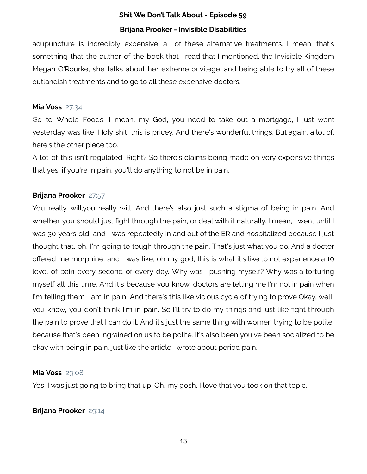## **Shit We Don't Talk About - Episode 59**

## **Brijana Prooker - Invisible Disabilities**

acupuncture is incredibly expensive, all of these alternative treatments. I mean, that's something that the author of the book that I read that I mentioned, the Invisible Kingdom Megan O'Rourke, she talks about her extreme privilege, and being able to try all of these outlandish treatments and to go to all these expensive doctors.

#### **Mia Voss** 27:34

Go to Whole Foods. I mean, my God, you need to take out a mortgage, I just went yesterday was like, Holy shit, this is pricey. And there's wonderful things. But again, a lot of, here's the other piece too.

A lot of this isn't regulated. Right? So there's claims being made on very expensive things that yes, if you're in pain, you'll do anything to not be in pain.

## **Brijana Prooker** 27:57

You really will,you really will. And there's also just such a stigma of being in pain. And whether you should just fight through the pain, or deal with it naturally. I mean, I went until I was 30 years old, and I was repeatedly in and out of the ER and hospitalized because I just thought that, oh, I'm going to tough through the pain. That's just what you do. And a doctor offered me morphine, and I was like, oh my god, this is what it's like to not experience a 10 level of pain every second of every day. Why was I pushing myself? Why was a torturing myself all this time. And it's because you know, doctors are telling me I'm not in pain when I'm telling them I am in pain. And there's this like vicious cycle of trying to prove Okay, well, you know, you don't think I'm in pain. So I'll try to do my things and just like fight through the pain to prove that I can do it. And it's just the same thing with women trying to be polite, because that's been ingrained on us to be polite. It's also been you've been socialized to be okay with being in pain, just like the article I wrote about period pain.

## **Mia Voss** 29:08

Yes, I was just going to bring that up. Oh, my gosh, I love that you took on that topic.

## **Brijana Prooker** 29:14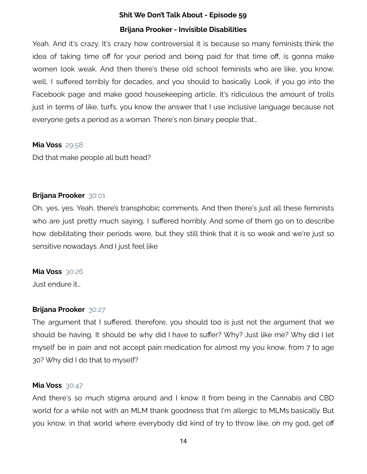Yeah. And it's crazy. It's crazy how controversial it is because so many feminists think the idea of taking time off for your period and being paid for that time off, is gonna make women look weak. And then there's these old school feminists who are like, you know, well, I suffered terribly for decades, and you should to basically. Look, if you go into the Facebook page and make good housekeeping article, it's ridiculous the amount of trolls just in terms of like, turfs, you know the answer that I use inclusive language because not everyone gets a period as a woman. There's non binary people that…

### **Mia Voss** 29:58

Did that make people all butt head?

### **Brijana Prooker** 30:01

Oh, yes, yes. Yeah, there's transphobic comments. And then there's just all these feminists who are just pretty much saying, I suffered horribly. And some of them go on to describe how debilitating their periods were, but they still think that it is so weak and we're just so sensitive nowadays. And I just feel like

#### **Mia Voss** 30:26

Just endure it…

## **Brijana Prooker** 30:27

The argument that I suffered, therefore, you should too is just not the argument that we should be having. It should be why did I have to suffer? Why? Just like me? Why did I let myself be in pain and not accept pain medication for almost my you know, from 7 to age 30? Why did I do that to myself?

#### **Mia Voss** 30:47

And there's so much stigma around and I know it from being in the Cannabis and CBD world for a while not with an MLM thank goodness that I'm allergic to MLMs basically. But you know, in that world where everybody did kind of try to throw like, oh my god, get off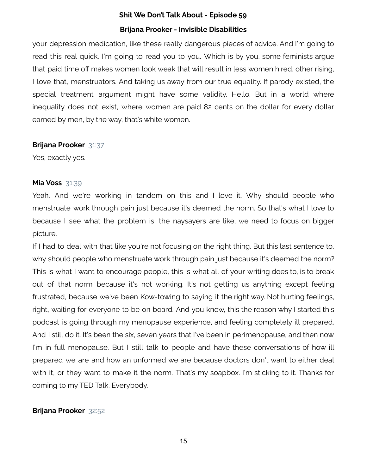your depression medication, like these really dangerous pieces of advice. And I'm going to read this real quick. I'm going to read you to you. Which is by you, some feminists argue that paid time off makes women look weak that will result in less women hired, other rising, I love that, menstruators. And taking us away from our true equality. If parody existed, the special treatment argument might have some validity. Hello. But in a world where inequality does not exist, where women are paid 82 cents on the dollar for every dollar earned by men, by the way, that's white women.

#### **Brijana Prooker** 31:37

Yes, exactly yes.

### **Mia Voss** 31:39

Yeah. And we're working in tandem on this and I love it. Why should people who menstruate work through pain just because it's deemed the norm. So that's what I love to because I see what the problem is, the naysayers are like, we need to focus on bigger picture.

If I had to deal with that like you're not focusing on the right thing. But this last sentence to, why should people who menstruate work through pain just because it's deemed the norm? This is what I want to encourage people, this is what all of your writing does to, is to break out of that norm because it's not working. It's not getting us anything except feeling frustrated, because we've been Kow-towing to saying it the right way. Not hurting feelings, right, waiting for everyone to be on board. And you know, this the reason why I started this podcast is going through my menopause experience, and feeling completely ill prepared. And I still do it. It's been the six, seven years that I've been in perimenopause, and then now I'm in full menopause. But I still talk to people and have these conversations of how ill prepared we are and how an unformed we are because doctors don't want to either deal with it, or they want to make it the norm. That's my soapbox. I'm sticking to it. Thanks for coming to my TED Talk. Everybody.

## **Brijana Prooker** 32:52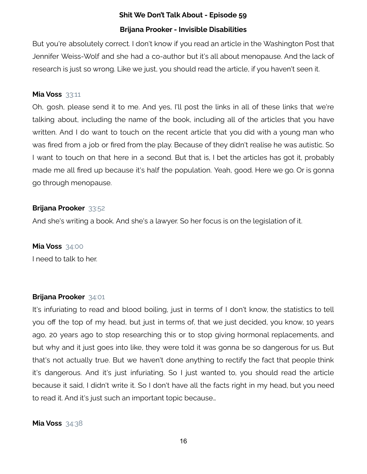But you're absolutely correct. I don't know if you read an article in the Washington Post that Jennifer Weiss-Wolf and she had a co-author but it's all about menopause. And the lack of research is just so wrong. Like we just, you should read the article, if you haven't seen it.

#### **Mia Voss** 33:11

Oh, gosh, please send it to me. And yes, I'll post the links in all of these links that we're talking about, including the name of the book, including all of the articles that you have written. And I do want to touch on the recent article that you did with a young man who was fired from a job or fired from the play. Because of they didn't realise he was autistic. So I want to touch on that here in a second. But that is, I bet the articles has got it, probably made me all fired up because it's half the population. Yeah, good. Here we go. Or is gonna go through menopause.

#### **Brijana Prooker** 33:52

And she's writing a book. And she's a lawyer. So her focus is on the legislation of it.

#### **Mia Voss** 34:00

I need to talk to her.

#### **Brijana Prooker** 34:01

It's infuriating to read and blood boiling, just in terms of I don't know, the statistics to tell you off the top of my head, but just in terms of, that we just decided, you know, 10 years ago, 20 years ago to stop researching this or to stop giving hormonal replacements, and but why and it just goes into like, they were told it was gonna be so dangerous for us. But that's not actually true. But we haven't done anything to rectify the fact that people think it's dangerous. And it's just infuriating. So I just wanted to, you should read the article because it said, I didn't write it. So I don't have all the facts right in my head, but you need to read it. And it's just such an important topic because…

#### **Mia Voss** 34:38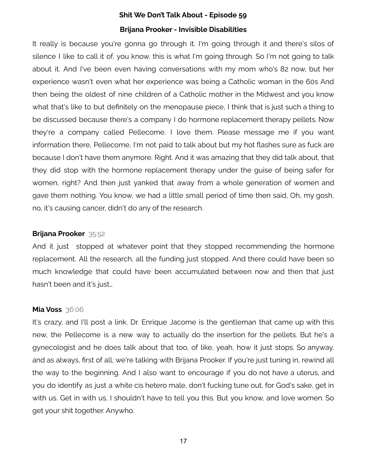It really is because you're gonna go through it. I'm going through it and there's silos of silence I like to call it of, you know, this is what I'm going through. So I'm not going to talk about it. And I've been even having conversations with my mom who's 82 now, but her experience wasn't even what her experience was being a Catholic woman in the 60s And then being the oldest of nine children of a Catholic mother in the Midwest and you know what that's like to but definitely on the menopause piece, I think that is just such a thing to be discussed because there's a company I do hormone replacement therapy pellets. Now they're a company called Pellecome. I love them. Please message me if you want information there, Pellecome, I'm not paid to talk about but my hot flashes sure as fuck are because I don't have them anymore. Right. And it was amazing that they did talk about, that they did stop with the hormone replacement therapy under the guise of being safer for women, right? And then just yanked that away from a whole generation of women and gave them nothing. You know, we had a little small period of time then said, Oh, my gosh, no, it's causing cancer, didn't do any of the research.

### **Brijana Prooker** 35:52

And it just stopped at whatever point that they stopped recommending the hormone replacement. All the research, all the funding just stopped. And there could have been so much knowledge that could have been accumulated between now and then that just hasn't been and it's just…

#### **Mia Voss** 36:06

It's crazy, and I'll post a link. Dr. Enrique Jacome is the gentleman that came up with this new, the Pellecome is a new way to actually do the insertion for the pellets. But he's a gynecologist and he does talk about that too, of like, yeah, how it just stops. So anyway, and as always, first of all, we're talking with Brijana Prooker. If you're just tuning in, rewind all the way to the beginning. And I also want to encourage if you do not have a uterus, and you do identify as just a white cis hetero male, don't fucking tune out, for God's sake, get in with us. Get in with us, I shouldn't have to tell you this. But you know, and love women. So get your shit together. Anywho.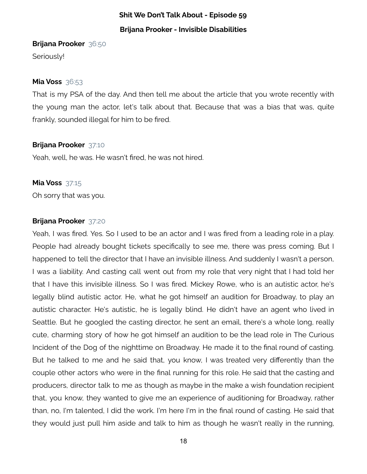#### **Brijana Prooker** 36:50

Seriously!

### **Mia Voss** 36:53

That is my PSA of the day. And then tell me about the article that you wrote recently with the young man the actor, let's talk about that. Because that was a bias that was, quite frankly, sounded illegal for him to be fired.

## **Brijana Prooker** 37:10

Yeah, well, he was. He wasn't fired, he was not hired.

### **Mia Voss** 37:15

Oh sorry that was you.

## **Brijana Prooker** 37:20

Yeah, I was fired. Yes. So I used to be an actor and I was fired from a leading role in a play. People had already bought tickets specifically to see me, there was press coming. But I happened to tell the director that I have an invisible illness. And suddenly I wasn't a person, I was a liability. And casting call went out from my role that very night that I had told her that I have this invisible illness. So I was fired. Mickey Rowe, who is an autistic actor, he's legally blind autistic actor. He, what he got himself an audition for Broadway, to play an autistic character. He's autistic, he is legally blind. He didn't have an agent who lived in Seattle. But he googled the casting director, he sent an email, there's a whole long, really cute, charming story of how he got himself an audition to be the lead role in The Curious Incident of the Dog of the nighttime on Broadway. He made it to the final round of casting. But he talked to me and he said that, you know, I was treated very differently than the couple other actors who were in the final running for this role. He said that the casting and producers, director talk to me as though as maybe in the make a wish foundation recipient that, you know, they wanted to give me an experience of auditioning for Broadway, rather than, no, I'm talented, I did the work. I'm here I'm in the final round of casting. He said that they would just pull him aside and talk to him as though he wasn't really in the running,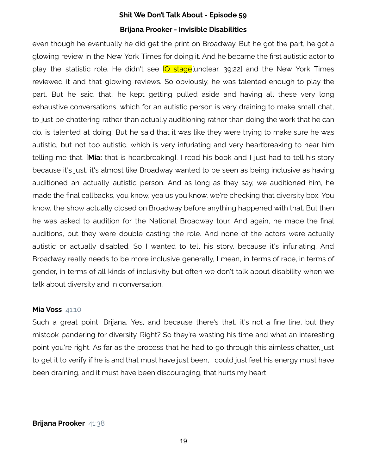even though he eventually he did get the print on Broadway. But he got the part, he got a glowing review in the New York Times for doing it. And he became the first autistic actor to play the statistic role. He didn't see IQ stage[unclear, 39:22] and the New York Times reviewed it and that glowing reviews. So obviously, he was talented enough to play the part. But he said that, he kept getting pulled aside and having all these very long exhaustive conversations, which for an autistic person is very draining to make small chat, to just be chattering rather than actually auditioning rather than doing the work that he can do, is talented at doing. But he said that it was like they were trying to make sure he was autistic, but not too autistic, which is very infuriating and very heartbreaking to hear him telling me that. [**Mia:** that is heartbreaking]. I read his book and I just had to tell his story because it's just, it's almost like Broadway wanted to be seen as being inclusive as having auditioned an actually autistic person. And as long as they say, we auditioned him, he made the final callbacks, you know, yea us you know, we're checking that diversity box. You know, the show actually closed on Broadway before anything happened with that. But then he was asked to audition for the National Broadway tour. And again, he made the final auditions, but they were double casting the role. And none of the actors were actually autistic or actually disabled. So I wanted to tell his story, because it's infuriating. And Broadway really needs to be more inclusive generally, I mean, in terms of race, in terms of gender, in terms of all kinds of inclusivity but often we don't talk about disability when we talk about diversity and in conversation.

#### **Mia Voss** 41:10

Such a great point, Brijana. Yes, and because there's that, it's not a fine line, but they mistook pandering for diversity. Right? So they're wasting his time and what an interesting point you're right. As far as the process that he had to go through this aimless chatter, just to get it to verify if he is and that must have just been, I could just feel his energy must have been draining, and it must have been discouraging, that hurts my heart.

#### **Brijana Prooker** 41:38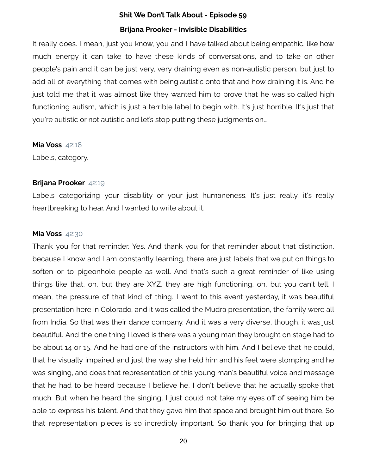It really does. I mean, just you know, you and I have talked about being empathic, like how much energy it can take to have these kinds of conversations, and to take on other people's pain and it can be just very, very draining even as non-autistic person, but just to add all of everything that comes with being autistic onto that and how draining it is. And he just told me that it was almost like they wanted him to prove that he was so called high functioning autism, which is just a terrible label to begin with. It's just horrible. It's just that you're autistic or not autistic and let's stop putting these judgments on…

**Mia Voss** 42:18

Labels, category.

### **Brijana Prooker** 42:19

Labels categorizing your disability or your just humaneness. It's just really, it's really heartbreaking to hear. And I wanted to write about it.

#### **Mia Voss** 42:30

Thank you for that reminder. Yes. And thank you for that reminder about that distinction, because I know and I am constantly learning, there are just labels that we put on things to soften or to pigeonhole people as well. And that's such a great reminder of like using things like that, oh, but they are XYZ, they are high functioning, oh, but you can't tell. I mean, the pressure of that kind of thing. I went to this event yesterday, it was beautiful presentation here in Colorado, and it was called the Mudra presentation, the family were all from India. So that was their dance company. And it was a very diverse, though, it was just beautiful. And the one thing I loved is there was a young man they brought on stage had to be about 14 or 15. And he had one of the instructors with him. And I believe that he could, that he visually impaired and just the way she held him and his feet were stomping and he was singing, and does that representation of this young man's beautiful voice and message that he had to be heard because I believe he, I don't believe that he actually spoke that much. But when he heard the singing, I just could not take my eyes off of seeing him be able to express his talent. And that they gave him that space and brought him out there. So that representation pieces is so incredibly important. So thank you for bringing that up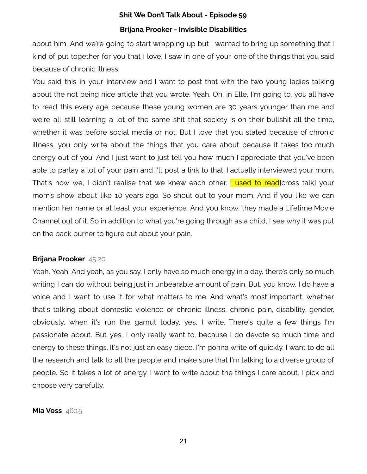about him. And we're going to start wrapping up but I wanted to bring up something that I kind of put together for you that I love. I saw in one of your, one of the things that you said because of chronic illness.

You said this in your interview and I want to post that with the two young ladies talking about the not being nice article that you wrote. Yeah. Oh, in Elle, I'm going to, you all have to read this every age because these young women are 30 years younger than me and we're all still learning a lot of the same shit that society is on their bullshit all the time, whether it was before social media or not. But I love that you stated because of chronic illness, you only write about the things that you care about because it takes too much energy out of you. And I just want to just tell you how much I appreciate that you've been able to parlay a lot of your pain and I'll post a link to that. I actually interviewed your mom. That's how we, I didn't realise that we knew each other. I used to read cross talk) your mom's show about like 10 years ago. So shout out to your mom. And if you like we can mention her name or at least your experience. And you know, they made a Lifetime Movie Channel out of it. So in addition to what you're going through as a child, I see why it was put on the back burner to figure out about your pain.

#### **Brijana Prooker** 45:20

Yeah. Yeah. And yeah, as you say, I only have so much energy in a day, there's only so much writing I can do without being just in unbearable amount of pain. But, you know, I do have a voice and I want to use it for what matters to me. And what's most important, whether that's talking about domestic violence or chronic illness, chronic pain, disability, gender, obviously, when it's run the gamut today, yes, I write. There's quite a few things I'm passionate about. But yes, I only really want to, because I do devote so much time and energy to these things. It's not just an easy piece, I'm gonna write off quickly, I want to do all the research and talk to all the people and make sure that I'm talking to a diverse group of people. So it takes a lot of energy. I want to write about the things I care about. I pick and choose very carefully.

#### **Mia Voss** 46:15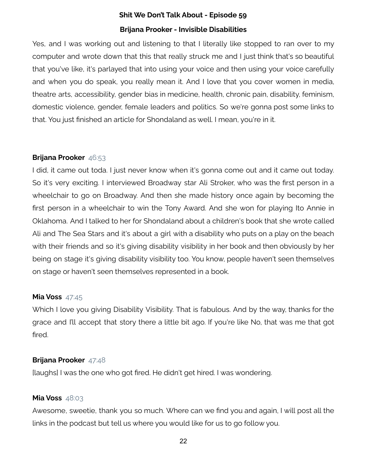Yes, and I was working out and listening to that I literally like stopped to ran over to my computer and wrote down that this that really struck me and I just think that's so beautiful that you've like, it's parlayed that into using your voice and then using your voice carefully and when you do speak, you really mean it. And I love that you cover women in media, theatre arts, accessibility, gender bias in medicine, health, chronic pain, disability, feminism, domestic violence, gender, female leaders and politics. So we're gonna post some links to that. You just finished an article for Shondaland as well. I mean, you're in it.

## **Brijana Prooker** 46:53

I did, it came out toda. I just never know when it's gonna come out and it came out today. So it's very exciting. I interviewed Broadway star Ali Stroker, who was the first person in a wheelchair to go on Broadway. And then she made history once again by becoming the first person in a wheelchair to win the Tony Award. And she won for playing Ito Annie in Oklahoma. And I talked to her for Shondaland about a children's book that she wrote called Ali and The Sea Stars and it's about a girl with a disability who puts on a play on the beach with their friends and so it's giving disability visibility in her book and then obviously by her being on stage it's giving disability visibility too. You know, people haven't seen themselves on stage or haven't seen themselves represented in a book.

#### **Mia Voss** 47:45

Which I love you giving Disability Visibility. That is fabulous. And by the way, thanks for the grace and I'll accept that story there a little bit ago. If you're like No, that was me that got fired.

#### **Brijana Prooker** 47:48

[laughs] I was the one who got fired. He didn't get hired. I was wondering.

## **Mia Voss** 48:03

Awesome, sweetie, thank you so much. Where can we find you and again, I will post all the links in the podcast but tell us where you would like for us to go follow you.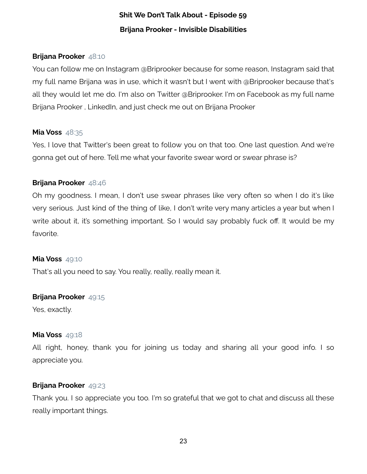## **Brijana Prooker** 48:10

You can follow me on Instagram @Briprooker because for some reason, Instagram said that my full name Brijana was in use, which it wasn't but I went with @Briprooker because that's all they would let me do. I'm also on Twitter @Briprooker. I'm on Facebook as my full name Brijana Prooker , LinkedIn, and just check me out on Brijana Prooker

### **Mia Voss** 48:35

Yes, I love that Twitter's been great to follow you on that too. One last question. And we're gonna get out of here. Tell me what your favorite swear word or swear phrase is?

## **Brijana Prooker** 48:46

Oh my goodness. I mean, I don't use swear phrases like very often so when I do it's like very serious. Just kind of the thing of like, I don't write very many articles a year but when I write about it, it's something important. So I would say probably fuck off. It would be my favorite.

#### **Mia Voss** 49:10

That's all you need to say. You really, really, really mean it.

#### **Brijana Prooker** 49:15

Yes, exactly.

#### **Mia Voss** 49:18

All right, honey, thank you for joining us today and sharing all your good info. I so appreciate you.

#### **Brijana Prooker** 49:23

Thank you. I so appreciate you too. I'm so grateful that we got to chat and discuss all these really important things.